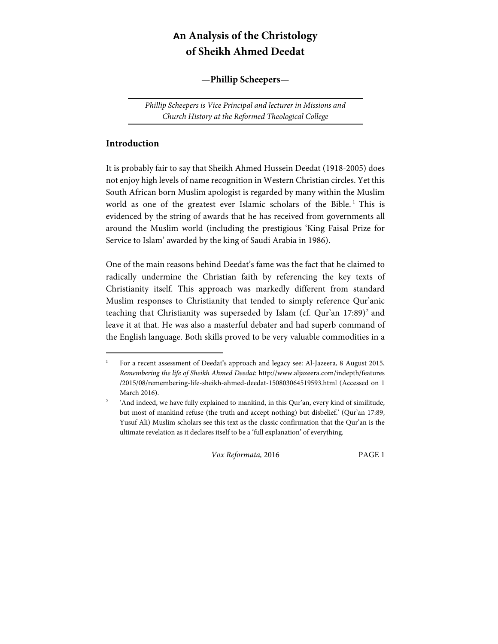# **An Analysis of the Christology of Sheikh Ahmed Deedat**

#### **—Phillip Scheepers—**

Phillip Scheepers is Vice Principal and lecturer in Missions and Church History at the Reformed Theological College

#### **Introduction**

 $\overline{a}$ 

It is probably fair to say that Sheikh Ahmed Hussein Deedat (1918-2005) does not enjoy high levels of name recognition in Western Christian circles. Yet this South African born Muslim apologist is regarded by many within the Muslim world as one of the greatest ever Islamic scholars of the Bible.<sup>1</sup> This is evidenced by the string of awards that he has received from governments all around the Muslim world (including the prestigious 'King Faisal Prize for Service to Islam' awarded by the king of Saudi Arabia in 1986).

One of the main reasons behind Deedat's fame was the fact that he claimed to radically undermine the Christian faith by referencing the key texts of Christianity itself. This approach was markedly different from standard Muslim responses to Christianity that tended to simply reference Qur'anic teaching that Christianity was superseded by Islam (cf. Qur'an 17:89)<sup>2</sup> and leave it at that. He was also a masterful debater and had superb command of the English language. Both skills proved to be very valuable commodities in a

<sup>1</sup> For a recent assessment of Deedat's approach and legacy see: Al-Jazeera, 8 August 2015, Remembering the life of Sheikh Ahmed Deedat: http://www.aljazeera.com/indepth/features /2015/08/remembering-life-sheikh-ahmed-deedat-150803064519593.html (Accessed on 1 March 2016).

<sup>2</sup> 'And indeed, we have fully explained to mankind, in this Qur'an, every kind of similitude, but most of mankind refuse (the truth and accept nothing) but disbelief.' (Qur'an 17:89, Yusuf Ali) Muslim scholars see this text as the classic confirmation that the Qur'an is the ultimate revelation as it declares itself to be a 'full explanation' of everything.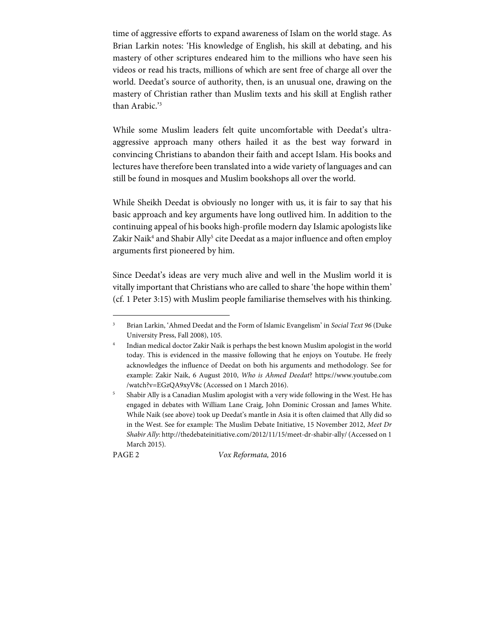time of aggressive efforts to expand awareness of Islam on the world stage. As Brian Larkin notes: 'His knowledge of English, his skill at debating, and his mastery of other scriptures endeared him to the millions who have seen his videos or read his tracts, millions of which are sent free of charge all over the world. Deedat's source of authority, then, is an unusual one, drawing on the mastery of Christian rather than Muslim texts and his skill at English rather than Arabic.'3

While some Muslim leaders felt quite uncomfortable with Deedat's ultraaggressive approach many others hailed it as the best way forward in convincing Christians to abandon their faith and accept Islam. His books and lectures have therefore been translated into a wide variety of languages and can still be found in mosques and Muslim bookshops all over the world.

While Sheikh Deedat is obviously no longer with us, it is fair to say that his basic approach and key arguments have long outlived him. In addition to the continuing appeal of his books high-profile modern day Islamic apologists like Zakir Naik<sup>4</sup> and Shabir Ally<sup>5</sup> cite Deedat as a major influence and often employ arguments first pioneered by him.

Since Deedat's ideas are very much alive and well in the Muslim world it is vitally important that Christians who are called to share 'the hope within them' (cf. 1 Peter 3:15) with Muslim people familiarise themselves with his thinking.

1

PAGE 2 Vox Reformata, 2016

<sup>3</sup> Brian Larkin, 'Ahmed Deedat and the Form of Islamic Evangelism' in Social Text 96 (Duke University Press, Fall 2008), 105.

<sup>4</sup> Indian medical doctor Zakir Naik is perhaps the best known Muslim apologist in the world today. This is evidenced in the massive following that he enjoys on Youtube. He freely acknowledges the influence of Deedat on both his arguments and methodology. See for example: Zakir Naik, 6 August 2010, Who is Ahmed Deedat? https://www.youtube.com /watch?v=EGzQA9xyV8c (Accessed on 1 March 2016).

<sup>5</sup> Shabir Ally is a Canadian Muslim apologist with a very wide following in the West. He has engaged in debates with William Lane Craig, John Dominic Crossan and James White. While Naik (see above) took up Deedat's mantle in Asia it is often claimed that Ally did so in the West. See for example: The Muslim Debate Initiative, 15 November 2012, Meet Dr Shabir Ally: http://thedebateinitiative.com/2012/11/15/meet-dr-shabir-ally/ (Accessed on 1 March 2015).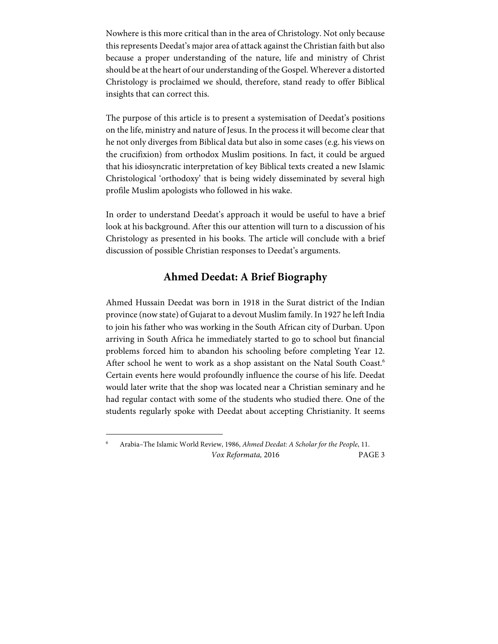Nowhere is this more critical than in the area of Christology. Not only because this represents Deedat's major area of attack against the Christian faith but also because a proper understanding of the nature, life and ministry of Christ should be at the heart of our understanding of the Gospel. Wherever a distorted Christology is proclaimed we should, therefore, stand ready to offer Biblical insights that can correct this.

The purpose of this article is to present a systemisation of Deedat's positions on the life, ministry and nature of Jesus. In the process it will become clear that he not only diverges from Biblical data but also in some cases (e.g. his views on the crucifixion) from orthodox Muslim positions. In fact, it could be argued that his idiosyncratic interpretation of key Biblical texts created a new Islamic Christological 'orthodoxy' that is being widely disseminated by several high profile Muslim apologists who followed in his wake.

In order to understand Deedat's approach it would be useful to have a brief look at his background. After this our attention will turn to a discussion of his Christology as presented in his books. The article will conclude with a brief discussion of possible Christian responses to Deedat's arguments.

### **Ahmed Deedat: A Brief Biography**

Ahmed Hussain Deedat was born in 1918 in the Surat district of the Indian province (now state) of Gujarat to a devout Muslim family. In 1927 he left India to join his father who was working in the South African city of Durban. Upon arriving in South Africa he immediately started to go to school but financial problems forced him to abandon his schooling before completing Year 12. After school he went to work as a shop assistant on the Natal South Coast.<sup>6</sup> Certain events here would profoundly influence the course of his life. Deedat would later write that the shop was located near a Christian seminary and he had regular contact with some of the students who studied there. One of the students regularly spoke with Deedat about accepting Christianity. It seems

 $\overline{a}$ 

Vox Reformata, 2016 PAGE 3 6 Arabia–The Islamic World Review, 1986, Ahmed Deedat: A Scholar for the People, 11.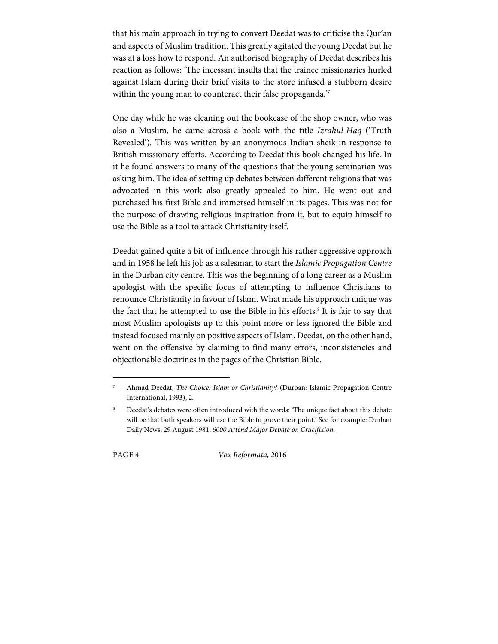that his main approach in trying to convert Deedat was to criticise the Qur'an and aspects of Muslim tradition. This greatly agitated the young Deedat but he was at a loss how to respond. An authorised biography of Deedat describes his reaction as follows: 'The incessant insults that the trainee missionaries hurled against Islam during their brief visits to the store infused a stubborn desire within the young man to counteract their false propaganda."

One day while he was cleaning out the bookcase of the shop owner, who was also a Muslim, he came across a book with the title Izrahul-Haq ('Truth Revealed'). This was written by an anonymous Indian sheik in response to British missionary efforts. According to Deedat this book changed his life. In it he found answers to many of the questions that the young seminarian was asking him. The idea of setting up debates between different religions that was advocated in this work also greatly appealed to him. He went out and purchased his first Bible and immersed himself in its pages. This was not for the purpose of drawing religious inspiration from it, but to equip himself to use the Bible as a tool to attack Christianity itself.

Deedat gained quite a bit of influence through his rather aggressive approach and in 1958 he left his job as a salesman to start the Islamic Propagation Centre in the Durban city centre. This was the beginning of a long career as a Muslim apologist with the specific focus of attempting to influence Christians to renounce Christianity in favour of Islam. What made his approach unique was the fact that he attempted to use the Bible in his efforts.<sup>8</sup> It is fair to say that most Muslim apologists up to this point more or less ignored the Bible and instead focused mainly on positive aspects of Islam. Deedat, on the other hand, went on the offensive by claiming to find many errors, inconsistencies and objectionable doctrines in the pages of the Christian Bible.

1

PAGE 4 Vox Reformata, 2016

<sup>7</sup> Ahmad Deedat, The Choice: Islam or Christianity? (Durban: Islamic Propagation Centre International, 1993), 2.

<sup>8</sup> Deedat's debates were often introduced with the words: 'The unique fact about this debate will be that both speakers will use the Bible to prove their point.' See for example: Durban Daily News, 29 August 1981, 6000 Attend Major Debate on Crucifixion.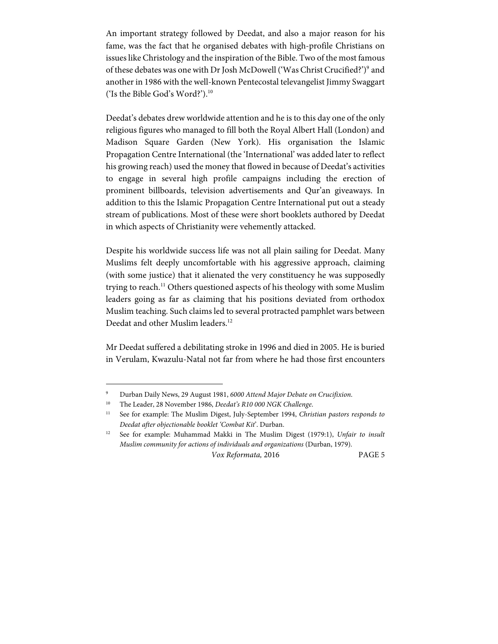An important strategy followed by Deedat, and also a major reason for his fame, was the fact that he organised debates with high-profile Christians on issues like Christology and the inspiration of the Bible. Two of the most famous of these debates was one with Dr Josh McDowell ('Was Christ Crucified?')<sup>9</sup> and another in 1986 with the well-known Pentecostal televangelist Jimmy Swaggart ('Is the Bible God's Word?').10

Deedat's debates drew worldwide attention and he is to this day one of the only religious figures who managed to fill both the Royal Albert Hall (London) and Madison Square Garden (New York). His organisation the Islamic Propagation Centre International (the 'International' was added later to reflect his growing reach) used the money that flowed in because of Deedat's activities to engage in several high profile campaigns including the erection of prominent billboards, television advertisements and Qur'an giveaways. In addition to this the Islamic Propagation Centre International put out a steady stream of publications. Most of these were short booklets authored by Deedat in which aspects of Christianity were vehemently attacked.

Despite his worldwide success life was not all plain sailing for Deedat. Many Muslims felt deeply uncomfortable with his aggressive approach, claiming (with some justice) that it alienated the very constituency he was supposedly trying to reach.<sup>11</sup> Others questioned aspects of his theology with some Muslim leaders going as far as claiming that his positions deviated from orthodox Muslim teaching. Such claims led to several protracted pamphlet wars between Deedat and other Muslim leaders.<sup>12</sup>

Mr Deedat suffered a debilitating stroke in 1996 and died in 2005. He is buried in Verulam, Kwazulu-Natal not far from where he had those first encounters

 $\overline{a}$ 

<sup>9</sup> Durban Daily News, 29 August 1981, 6000 Attend Major Debate on Crucifixion.

<sup>&</sup>lt;sup>10</sup> The Leader, 28 November 1986, Deedat's R10 000 NGK Challenge.

<sup>&</sup>lt;sup>11</sup> See for example: The Muslim Digest, July-September 1994, Christian pastors responds to Deedat after objectionable booklet 'Combat Kit'. Durban.

<sup>&</sup>lt;sup>12</sup> See for example: Muhammad Makki in The Muslim Digest (1979:1), Unfair to insult Muslim community for actions of individuals and organizations (Durban, 1979).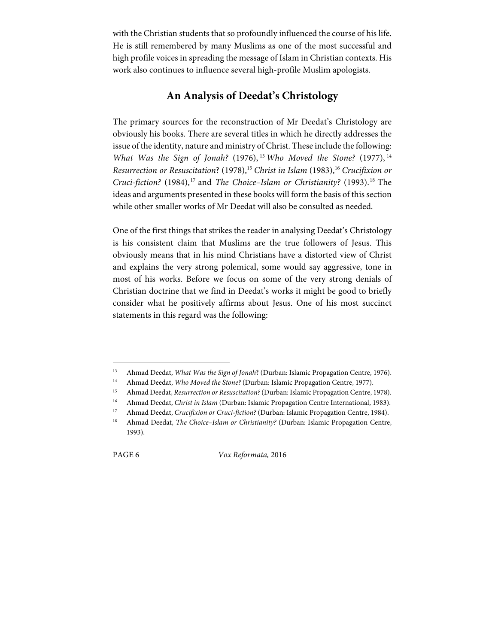with the Christian students that so profoundly influenced the course of his life. He is still remembered by many Muslims as one of the most successful and high profile voices in spreading the message of Islam in Christian contexts. His work also continues to influence several high-profile Muslim apologists.

## **An Analysis of Deedat's Christology**

The primary sources for the reconstruction of Mr Deedat's Christology are obviously his books. There are several titles in which he directly addresses the issue of the identity, nature and ministry of Christ. These include the following: What Was the Sign of Jonah? (1976), <sup>13</sup> Who Moved the Stone? (1977),  $14$ Resurrection or Resuscitation? (1978),<sup>15</sup> Christ in Islam (1983),<sup>16</sup> Crucifixion or Cruci-fiction?  $(1984)$ ,<sup>17</sup> and *The Choice–Islam or Christianity?*  $(1993)$ .<sup>18</sup> The ideas and arguments presented in these books will form the basis of this section while other smaller works of Mr Deedat will also be consulted as needed.

One of the first things that strikes the reader in analysing Deedat's Christology is his consistent claim that Muslims are the true followers of Jesus. This obviously means that in his mind Christians have a distorted view of Christ and explains the very strong polemical, some would say aggressive, tone in most of his works. Before we focus on some of the very strong denials of Christian doctrine that we find in Deedat's works it might be good to briefly consider what he positively affirms about Jesus. One of his most succinct statements in this regard was the following:

1

PAGE 6 Vox Reformata, 2016

<sup>&</sup>lt;sup>13</sup> Ahmad Deedat, *What Was the Sign of Jonah*? (Durban: Islamic Propagation Centre, 1976).

<sup>&</sup>lt;sup>14</sup> Ahmad Deedat, Who Moved the Stone? (Durban: Islamic Propagation Centre, 1977).

<sup>&</sup>lt;sup>15</sup> Ahmad Deedat, Resurrection or Resuscitation? (Durban: Islamic Propagation Centre, 1978).

<sup>&</sup>lt;sup>16</sup> Ahmad Deedat, Christ in Islam (Durban: Islamic Propagation Centre International, 1983).

<sup>&</sup>lt;sup>17</sup> Ahmad Deedat, Crucifixion or Cruci-fiction? (Durban: Islamic Propagation Centre, 1984).

<sup>&</sup>lt;sup>18</sup> Ahmad Deedat, *The Choice-Islam or Christianity?* (Durban: Islamic Propagation Centre, 1993).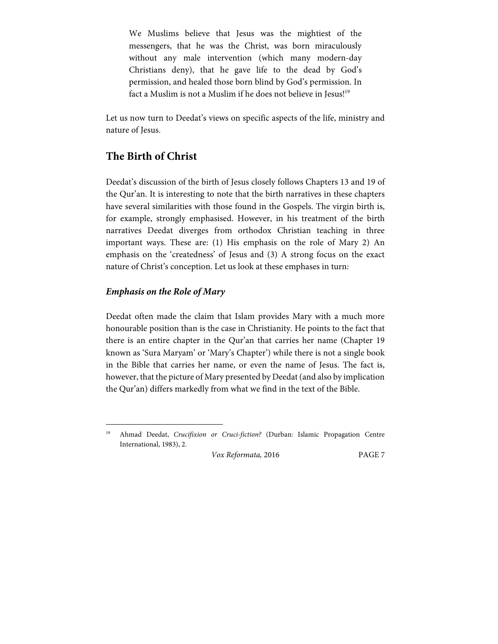We Muslims believe that Jesus was the mightiest of the messengers, that he was the Christ, was born miraculously without any male intervention (which many modern-day Christians deny), that he gave life to the dead by God's permission, and healed those born blind by God's permission. In fact a Muslim is not a Muslim if he does not believe in Jesus!<sup>19</sup>

Let us now turn to Deedat's views on specific aspects of the life, ministry and nature of Jesus.

## **The Birth of Christ**

Deedat's discussion of the birth of Jesus closely follows Chapters 13 and 19 of the Qur'an. It is interesting to note that the birth narratives in these chapters have several similarities with those found in the Gospels. The virgin birth is, for example, strongly emphasised. However, in his treatment of the birth narratives Deedat diverges from orthodox Christian teaching in three important ways. These are: (1) His emphasis on the role of Mary 2) An emphasis on the 'createdness' of Jesus and (3) A strong focus on the exact nature of Christ's conception. Let us look at these emphases in turn:

#### **Emphasis on the Role of Mary**

 $\overline{a}$ 

Deedat often made the claim that Islam provides Mary with a much more honourable position than is the case in Christianity. He points to the fact that there is an entire chapter in the Qur'an that carries her name (Chapter 19 known as 'Sura Maryam' or 'Mary's Chapter') while there is not a single book in the Bible that carries her name, or even the name of Jesus. The fact is, however, that the picture of Mary presented by Deedat (and also by implication the Qur'an) differs markedly from what we find in the text of the Bible.

Ahmad Deedat, Crucifixion or Cruci-fiction? (Durban: Islamic Propagation Centre International, 1983), 2.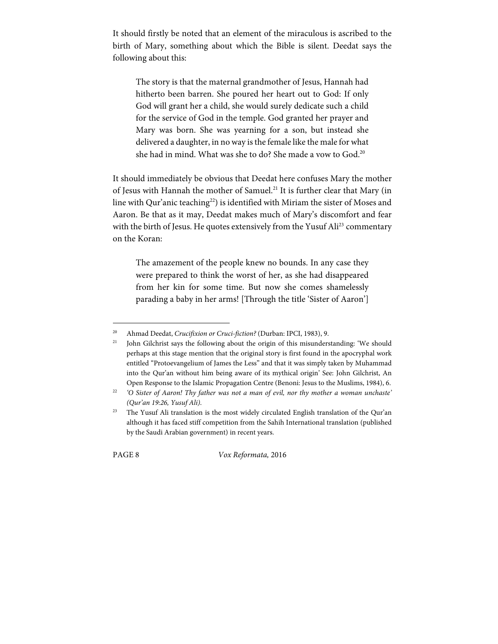It should firstly be noted that an element of the miraculous is ascribed to the birth of Mary, something about which the Bible is silent. Deedat says the following about this:

The story is that the maternal grandmother of Jesus, Hannah had hitherto been barren. She poured her heart out to God: If only God will grant her a child, she would surely dedicate such a child for the service of God in the temple. God granted her prayer and Mary was born. She was yearning for a son, but instead she delivered a daughter, in no way is the female like the male for what she had in mind. What was she to do? She made a vow to God.<sup>20</sup>

It should immediately be obvious that Deedat here confuses Mary the mother of Jesus with Hannah the mother of Samuel.<sup>21</sup> It is further clear that Mary (in line with Qur'anic teaching<sup>22</sup>) is identified with Miriam the sister of Moses and Aaron. Be that as it may, Deedat makes much of Mary's discomfort and fear with the birth of Jesus. He quotes extensively from the Yusuf Ali<sup>23</sup> commentary on the Koran:

The amazement of the people knew no bounds. In any case they were prepared to think the worst of her, as she had disappeared from her kin for some time. But now she comes shamelessly parading a baby in her arms! [Through the title 'Sister of Aaron']

1

PAGE 8 Vox Reformata, 2016

<sup>&</sup>lt;sup>20</sup> Ahmad Deedat, *Crucifixion or Cruci-fiction?* (Durban: IPCI, 1983), 9.

<sup>&</sup>lt;sup>21</sup> John Gilchrist says the following about the origin of this misunderstanding: 'We should perhaps at this stage mention that the original story is first found in the apocryphal work entitled "Protoevangelium of James the Less" and that it was simply taken by Muhammad into the Qur'an without him being aware of its mythical origin' See: John Gilchrist, An Open Response to the Islamic Propagation Centre (Benoni: Jesus to the Muslims, 1984), 6.

 $22$  'O Sister of Aaron! Thy father was not a man of evil, nor thy mother a woman unchaste' (Qur'an 19:26, Yusuf Ali).

<sup>&</sup>lt;sup>23</sup> The Yusuf Ali translation is the most widely circulated English translation of the Qur'an although it has faced stiff competition from the Sahih International translation (published by the Saudi Arabian government) in recent years.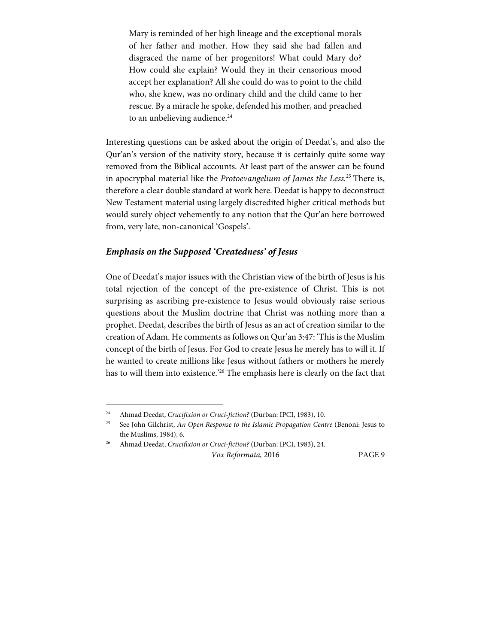Mary is reminded of her high lineage and the exceptional morals of her father and mother. How they said she had fallen and disgraced the name of her progenitors! What could Mary do? How could she explain? Would they in their censorious mood accept her explanation? All she could do was to point to the child who, she knew, was no ordinary child and the child came to her rescue. By a miracle he spoke, defended his mother, and preached to an unbelieving audience.<sup>24</sup>

Interesting questions can be asked about the origin of Deedat's, and also the Qur'an's version of the nativity story, because it is certainly quite some way removed from the Biblical accounts. At least part of the answer can be found in apocryphal material like the Protoevangelium of James the Less.<sup>25</sup> There is, therefore a clear double standard at work here. Deedat is happy to deconstruct New Testament material using largely discredited higher critical methods but would surely object vehemently to any notion that the Qur'an here borrowed from, very late, non-canonical 'Gospels'.

#### **Emphasis on the Supposed 'Createdness' of Jesus**

One of Deedat's major issues with the Christian view of the birth of Jesus is his total rejection of the concept of the pre-existence of Christ. This is not surprising as ascribing pre-existence to Jesus would obviously raise serious questions about the Muslim doctrine that Christ was nothing more than a prophet. Deedat, describes the birth of Jesus as an act of creation similar to the creation of Adam. He comments as follows on Qur'an 3:47: 'This is the Muslim concept of the birth of Jesus. For God to create Jesus he merely has to will it. If he wanted to create millions like Jesus without fathers or mothers he merely has to will them into existence.<sup>'26</sup> The emphasis here is clearly on the fact that

 $\overline{a}$ 

<sup>&</sup>lt;sup>24</sup> Ahmad Deedat, Crucifixion or Cruci-fiction? (Durban: IPCI, 1983), 10.

<sup>&</sup>lt;sup>25</sup> See John Gilchrist, An Open Response to the Islamic Propagation Centre (Benoni: Jesus to the Muslims, 1984), 6.

Vox Reformata, 2016 PAGE 9 26 Ahmad Deedat, Crucifixion or Cruci-fiction? (Durban: IPCI, 1983), 24.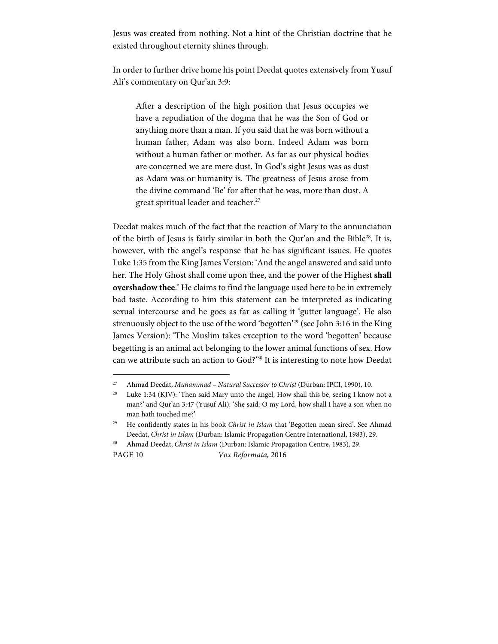Jesus was created from nothing. Not a hint of the Christian doctrine that he existed throughout eternity shines through.

In order to further drive home his point Deedat quotes extensively from Yusuf Ali's commentary on Qur'an 3:9:

After a description of the high position that Jesus occupies we have a repudiation of the dogma that he was the Son of God or anything more than a man. If you said that he was born without a human father, Adam was also born. Indeed Adam was born without a human father or mother. As far as our physical bodies are concerned we are mere dust. In God's sight Jesus was as dust as Adam was or humanity is. The greatness of Jesus arose from the divine command 'Be' for after that he was, more than dust. A great spiritual leader and teacher.<sup>27</sup>

Deedat makes much of the fact that the reaction of Mary to the annunciation of the birth of Jesus is fairly similar in both the Qur'an and the Bible28. It is, however, with the angel's response that he has significant issues. He quotes Luke 1:35 from the King James Version: 'And the angel answered and said unto her. The Holy Ghost shall come upon thee, and the power of the Highest **shall overshadow thee**.' He claims to find the language used here to be in extremely bad taste. According to him this statement can be interpreted as indicating sexual intercourse and he goes as far as calling it 'gutter language'. He also strenuously object to the use of the word 'begotten'29 (see John 3:16 in the King James Version): 'The Muslim takes exception to the word 'begotten' because begetting is an animal act belonging to the lower animal functions of sex. How can we attribute such an action to God?'30 It is interesting to note how Deedat

 $\overline{a}$ 

PAGE 10 Vox Reformata, 2016

 $27$  Ahmad Deedat, Muhammad - Natural Successor to Christ (Durban: IPCI, 1990), 10.

<sup>&</sup>lt;sup>28</sup> Luke 1:34 (KJV): 'Then said Mary unto the angel, How shall this be, seeing I know not a man?' and Qur'an 3:47 (Yusuf Ali): 'She said: O my Lord, how shall I have a son when no man hath touched me?'

<sup>&</sup>lt;sup>29</sup> He confidently states in his book Christ in Islam that 'Begotten mean sired'. See Ahmad Deedat, Christ in Islam (Durban: Islamic Propagation Centre International, 1983), 29.

<sup>&</sup>lt;sup>30</sup> Ahmad Deedat, Christ in Islam (Durban: Islamic Propagation Centre, 1983), 29.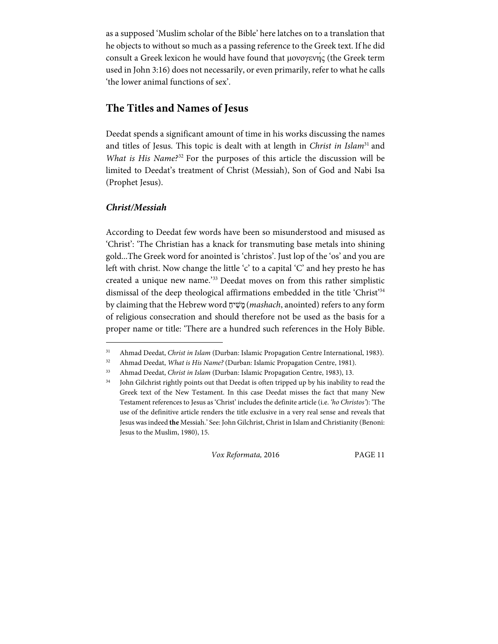as a supposed 'Muslim scholar of the Bible' here latches on to a translation that he objects to without so much as a passing reference to the Greek text. If he did consult a Greek lexicon he would have found that μονογενής (the Greek term used in John 3:16) does not necessarily, or even primarily, refer to what he calls 'the lower animal functions of sex'.

## **The Titles and Names of Jesus**

Deedat spends a significant amount of time in his works discussing the names and titles of Jesus. This topic is dealt with at length in Christ in Islam<sup>31</sup> and What is His Name? $32$  For the purposes of this article the discussion will be limited to Deedat's treatment of Christ (Messiah), Son of God and Nabi Isa (Prophet Jesus).

#### **Christ/Messiah**

 $\overline{a}$ 

According to Deedat few words have been so misunderstood and misused as 'Christ': 'The Christian has a knack for transmuting base metals into shining gold...The Greek word for anointed is 'christos'. Just lop of the 'os' and you are left with christ. Now change the little 'c' to a capital 'C' and hey presto he has created a unique new name.'33 Deedat moves on from this rather simplistic dismissal of the deep theological affirmations embedded in the title 'Christ'34 by claiming that the Hebrew word יחַ שִׁ מָ) mashach, anointed) refers to any form of religious consecration and should therefore not be used as the basis for a proper name or title: 'There are a hundred such references in the Holy Bible.

<sup>&</sup>lt;sup>31</sup> Ahmad Deedat, Christ in Islam (Durban: Islamic Propagation Centre International, 1983).

<sup>&</sup>lt;sup>32</sup> Ahmad Deedat, What is His Name? (Durban: Islamic Propagation Centre, 1981).

<sup>&</sup>lt;sup>33</sup> Ahmad Deedat, Christ in Islam (Durban: Islamic Propagation Centre, 1983), 13.

<sup>&</sup>lt;sup>34</sup> John Gilchrist rightly points out that Deedat is often tripped up by his inability to read the Greek text of the New Testament. In this case Deedat misses the fact that many New Testament references to Jesus as 'Christ' includes the definite article (i.e. 'ho Christos'): 'The use of the definitive article renders the title exclusive in a very real sense and reveals that Jesus was indeed **the** Messiah.' See: John Gilchrist, Christ in Islam and Christianity (Benoni: Jesus to the Muslim, 1980), 15.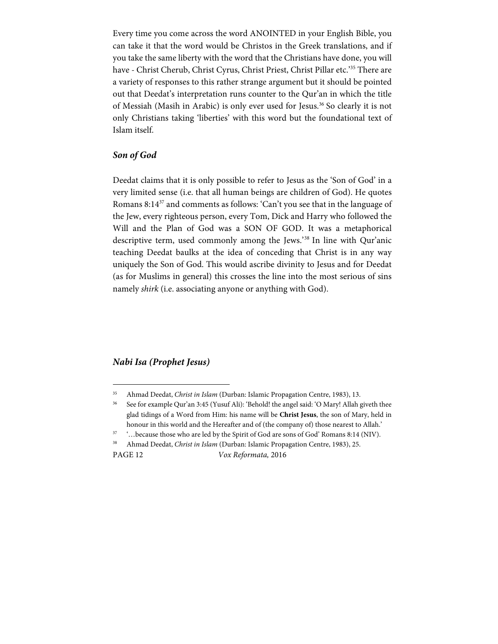Every time you come across the word ANOINTED in your English Bible, you can take it that the word would be Christos in the Greek translations, and if you take the same liberty with the word that the Christians have done, you will have - Christ Cherub, Christ Cyrus, Christ Priest, Christ Pillar etc.'35 There are a variety of responses to this rather strange argument but it should be pointed out that Deedat's interpretation runs counter to the Qur'an in which the title of Messiah (Masih in Arabic) is only ever used for Jesus.<sup>36</sup> So clearly it is not only Christians taking 'liberties' with this word but the foundational text of Islam itself.

#### **Son of God**

Deedat claims that it is only possible to refer to Jesus as the 'Son of God' in a very limited sense (i.e. that all human beings are children of God). He quotes Romans 8:1437 and comments as follows: 'Can't you see that in the language of the Jew, every righteous person, every Tom, Dick and Harry who followed the Will and the Plan of God was a SON OF GOD. It was a metaphorical descriptive term, used commonly among the Jews.'38 In line with Qur'anic teaching Deedat baulks at the idea of conceding that Christ is in any way uniquely the Son of God. This would ascribe divinity to Jesus and for Deedat (as for Muslims in general) this crosses the line into the most serious of sins namely shirk (i.e. associating anyone or anything with God).

#### **Nabi Isa (Prophet Jesus)**

 $\overline{a}$ 

<sup>&</sup>lt;sup>35</sup> Ahmad Deedat, Christ in Islam (Durban: Islamic Propagation Centre, 1983), 13.

<sup>&</sup>lt;sup>36</sup> See for example Qur'an 3:45 (Yusuf Ali): 'Behold! the angel said: 'O Mary! Allah giveth thee glad tidings of a Word from Him: his name will be **Christ Jesus**, the son of Mary, held in honour in this world and the Hereafter and of (the company of) those nearest to Allah.'

<sup>37 &#</sup>x27;…because those who are led by the Spirit of God are sons of God' Romans 8:14 (NIV).

<sup>&</sup>lt;sup>38</sup> Ahmad Deedat, Christ in Islam (Durban: Islamic Propagation Centre, 1983), 25.

PAGE 12 Vox Reformata, 2016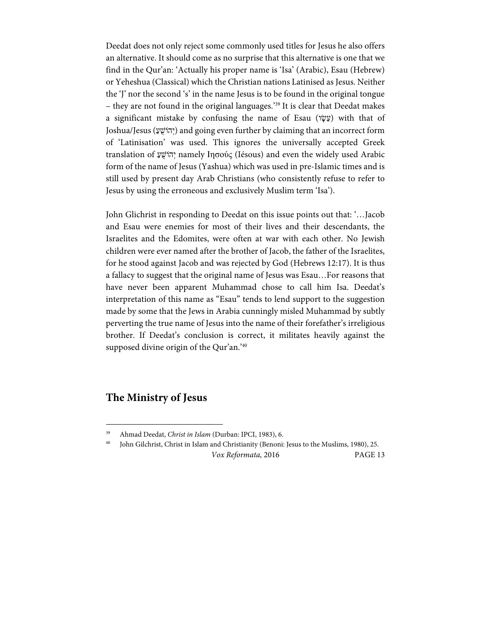Deedat does not only reject some commonly used titles for Jesus he also offers an alternative. It should come as no surprise that this alternative is one that we find in the Qur'an: 'Actually his proper name is 'Isa' (Arabic), Esau (Hebrew) or Yeheshua (Classical) which the Christian nations Latinised as Jesus. Neither the 'J' nor the second 's' in the name Jesus is to be found in the original tongue – they are not found in the original languages.'39 It is clear that Deedat makes a significant mistake by confusing the name of Esau (עֵשָׂוֹ) with that of Joshua/Jesus (יְהוֹשָׁעַ) and going even further by claiming that an incorrect form of 'Latinisation' was used. This ignores the universally accepted Greek translation of *עֲהוֹשׁׁ namely Ιησούς* (Iésous) and even the widely used Arabic form of the name of Jesus (Yashua) which was used in pre-Islamic times and is still used by present day Arab Christians (who consistently refuse to refer to Jesus by using the erroneous and exclusively Muslim term 'Isa').

John Glichrist in responding to Deedat on this issue points out that: '…Jacob and Esau were enemies for most of their lives and their descendants, the Israelites and the Edomites, were often at war with each other. No Jewish children were ever named after the brother of Jacob, the father of the Israelites, for he stood against Jacob and was rejected by God (Hebrews 12:17). It is thus a fallacy to suggest that the original name of Jesus was Esau…For reasons that have never been apparent Muhammad chose to call him Isa. Deedat's interpretation of this name as "Esau" tends to lend support to the suggestion made by some that the Jews in Arabia cunningly misled Muhammad by subtly perverting the true name of Jesus into the name of their forefather's irreligious brother. If Deedat's conclusion is correct, it militates heavily against the supposed divine origin of the Qur'an.<sup>'40</sup>

### **The Ministry of Jesus**

 $\overline{a}$ 

Vox Reformata, 2016 PAGE 13 40 John Gilchrist, Christ in Islam and Christianity (Benoni: Jesus to the Muslims, 1980), 25.

<sup>39</sup> Ahmad Deedat, Christ in Islam (Durban: IPCI, 1983), 6.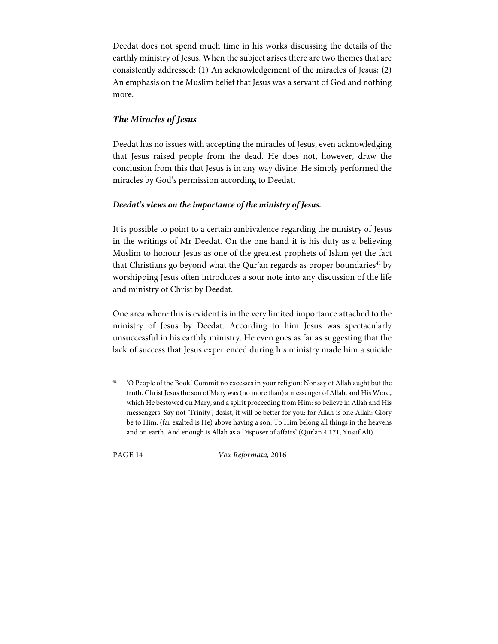Deedat does not spend much time in his works discussing the details of the earthly ministry of Jesus. When the subject arises there are two themes that are consistently addressed: (1) An acknowledgement of the miracles of Jesus; (2) An emphasis on the Muslim belief that Jesus was a servant of God and nothing more.

#### **The Miracles of Jesus**

Deedat has no issues with accepting the miracles of Jesus, even acknowledging that Jesus raised people from the dead. He does not, however, draw the conclusion from this that Jesus is in any way divine. He simply performed the miracles by God's permission according to Deedat.

#### **Deedat's views on the importance of the ministry of Jesus.**

It is possible to point to a certain ambivalence regarding the ministry of Jesus in the writings of Mr Deedat. On the one hand it is his duty as a believing Muslim to honour Jesus as one of the greatest prophets of Islam yet the fact that Christians go beyond what the Qur'an regards as proper boundaries<sup>41</sup> by worshipping Jesus often introduces a sour note into any discussion of the life and ministry of Christ by Deedat.

One area where this is evident is in the very limited importance attached to the ministry of Jesus by Deedat. According to him Jesus was spectacularly unsuccessful in his earthly ministry. He even goes as far as suggesting that the lack of success that Jesus experienced during his ministry made him a suicide

 $\overline{a}$ 

PAGE 14 Vox Reformata, 2016

<sup>41 &#</sup>x27;O People of the Book! Commit no excesses in your religion: Nor say of Allah aught but the truth. Christ Jesus the son of Mary was (no more than) a messenger of Allah, and His Word, which He bestowed on Mary, and a spirit proceeding from Him: so believe in Allah and His messengers. Say not 'Trinity', desist, it will be better for you: for Allah is one Allah: Glory be to Him: (far exalted is He) above having a son. To Him belong all things in the heavens and on earth. And enough is Allah as a Disposer of affairs' (Qur'an 4:171, Yusuf Ali).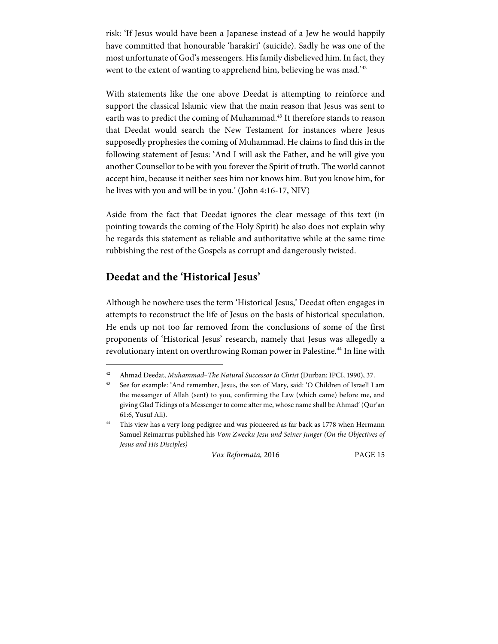risk: 'If Jesus would have been a Japanese instead of a Jew he would happily have committed that honourable 'harakiri' (suicide). Sadly he was one of the most unfortunate of God's messengers. His family disbelieved him. In fact, they went to the extent of wanting to apprehend him, believing he was mad.<sup>242</sup>

With statements like the one above Deedat is attempting to reinforce and support the classical Islamic view that the main reason that Jesus was sent to earth was to predict the coming of Muhammad.<sup>43</sup> It therefore stands to reason that Deedat would search the New Testament for instances where Jesus supposedly prophesies the coming of Muhammad. He claims to find this in the following statement of Jesus: 'And I will ask the Father, and he will give you another Counsellor to be with you forever the Spirit of truth. The world cannot accept him, because it neither sees him nor knows him. But you know him, for he lives with you and will be in you.' (John 4:16-17, NIV)

Aside from the fact that Deedat ignores the clear message of this text (in pointing towards the coming of the Holy Spirit) he also does not explain why he regards this statement as reliable and authoritative while at the same time rubbishing the rest of the Gospels as corrupt and dangerously twisted.

### **Deedat and the 'Historical Jesus'**

 $\overline{a}$ 

Although he nowhere uses the term 'Historical Jesus,' Deedat often engages in attempts to reconstruct the life of Jesus on the basis of historical speculation. He ends up not too far removed from the conclusions of some of the first proponents of 'Historical Jesus' research, namely that Jesus was allegedly a revolutionary intent on overthrowing Roman power in Palestine.<sup>44</sup> In line with

<sup>&</sup>lt;sup>42</sup> Ahmad Deedat, Muhammad-The Natural Successor to Christ (Durban: IPCI, 1990), 37.

<sup>43</sup> See for example: 'And remember, Jesus, the son of Mary, said: 'O Children of Israel! I am the messenger of Allah (sent) to you, confirming the Law (which came) before me, and giving Glad Tidings of a Messenger to come after me, whose name shall be Ahmad' (Qur'an 61:6, Yusuf Ali).

<sup>&</sup>lt;sup>44</sup> This view has a very long pedigree and was pioneered as far back as 1778 when Hermann Samuel Reimarrus published his Vom Zwecku Jesu und Seiner Junger (On the Objectives of Jesus and His Disciples)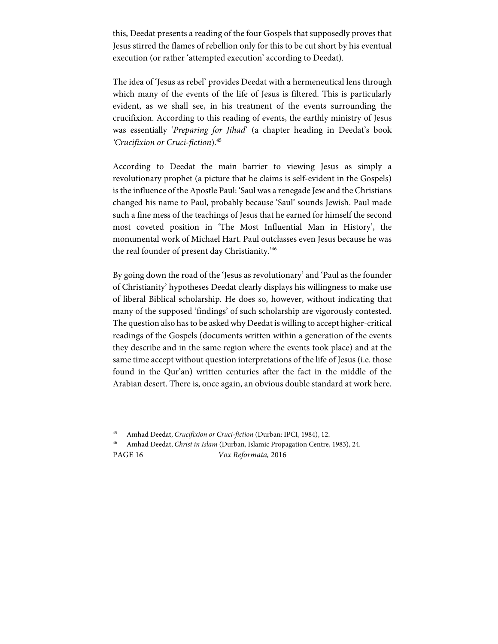this, Deedat presents a reading of the four Gospels that supposedly proves that Jesus stirred the flames of rebellion only for this to be cut short by his eventual execution (or rather 'attempted execution' according to Deedat).

The idea of 'Jesus as rebel' provides Deedat with a hermeneutical lens through which many of the events of the life of Jesus is filtered. This is particularly evident, as we shall see, in his treatment of the events surrounding the crucifixion. According to this reading of events, the earthly ministry of Jesus was essentially 'Preparing for Jihad' (a chapter heading in Deedat's book 'Crucifixion or Cruci-fiction).45

According to Deedat the main barrier to viewing Jesus as simply a revolutionary prophet (a picture that he claims is self-evident in the Gospels) is the influence of the Apostle Paul: 'Saul was a renegade Jew and the Christians changed his name to Paul, probably because 'Saul' sounds Jewish. Paul made such a fine mess of the teachings of Jesus that he earned for himself the second most coveted position in 'The Most Influential Man in History', the monumental work of Michael Hart. Paul outclasses even Jesus because he was the real founder of present day Christianity.'46

By going down the road of the 'Jesus as revolutionary' and 'Paul as the founder of Christianity' hypotheses Deedat clearly displays his willingness to make use of liberal Biblical scholarship. He does so, however, without indicating that many of the supposed 'findings' of such scholarship are vigorously contested. The question also has to be asked why Deedat is willing to accept higher-critical readings of the Gospels (documents written within a generation of the events they describe and in the same region where the events took place) and at the same time accept without question interpretations of the life of Jesus (i.e. those found in the Qur'an) written centuries after the fact in the middle of the Arabian desert. There is, once again, an obvious double standard at work here.

1

PAGE 16 Vox Reformata, 2016 <sup>46</sup> Amhad Deedat, Christ in Islam (Durban, Islamic Propagation Centre, 1983), 24.

Amhad Deedat, Crucifixion or Cruci-fiction (Durban: IPCI, 1984), 12.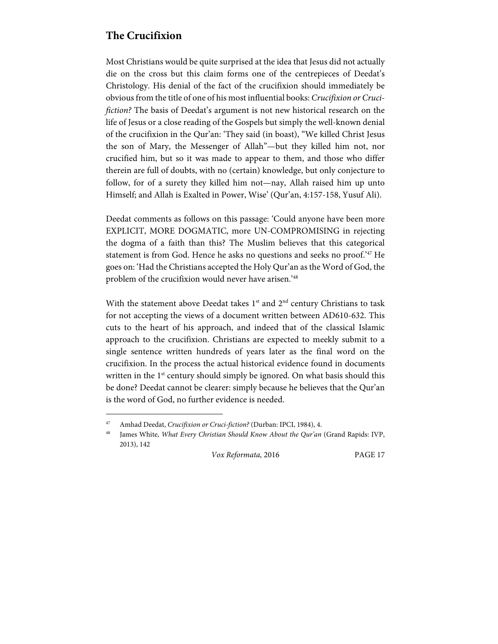## **The Crucifixion**

Most Christians would be quite surprised at the idea that Jesus did not actually die on the cross but this claim forms one of the centrepieces of Deedat's Christology. His denial of the fact of the crucifixion should immediately be obvious from the title of one of his most influential books: Crucifixion or Crucifiction? The basis of Deedat's argument is not new historical research on the life of Jesus or a close reading of the Gospels but simply the well-known denial of the crucifixion in the Qur'an: 'They said (in boast), "We killed Christ Jesus the son of Mary, the Messenger of Allah"—but they killed him not, nor crucified him, but so it was made to appear to them, and those who differ therein are full of doubts, with no (certain) knowledge, but only conjecture to follow, for of a surety they killed him not—nay, Allah raised him up unto Himself; and Allah is Exalted in Power, Wise' (Qur'an, 4:157-158, Yusuf Ali).

Deedat comments as follows on this passage: 'Could anyone have been more EXPLICIT, MORE DOGMATIC, more UN-COMPROMISING in rejecting the dogma of a faith than this? The Muslim believes that this categorical statement is from God. Hence he asks no questions and seeks no proof.'47 He goes on: 'Had the Christians accepted the Holy Qur'an as the Word of God, the problem of the crucifixion would never have arisen.'48

With the statement above Deedat takes  $1<sup>st</sup>$  and  $2<sup>nd</sup>$  century Christians to task for not accepting the views of a document written between AD610-632. This cuts to the heart of his approach, and indeed that of the classical Islamic approach to the crucifixion. Christians are expected to meekly submit to a single sentence written hundreds of years later as the final word on the crucifixion. In the process the actual historical evidence found in documents written in the 1<sup>st</sup> century should simply be ignored. On what basis should this be done? Deedat cannot be clearer: simply because he believes that the Qur'an is the word of God, no further evidence is needed.

 $\overline{a}$ 

<sup>&</sup>lt;sup>47</sup> Amhad Deedat, Crucifixion or Cruci-fiction? (Durban: IPCI, 1984), 4.

James White, What Every Christian Should Know About the Qur'an (Grand Rapids: IVP, 2013), 142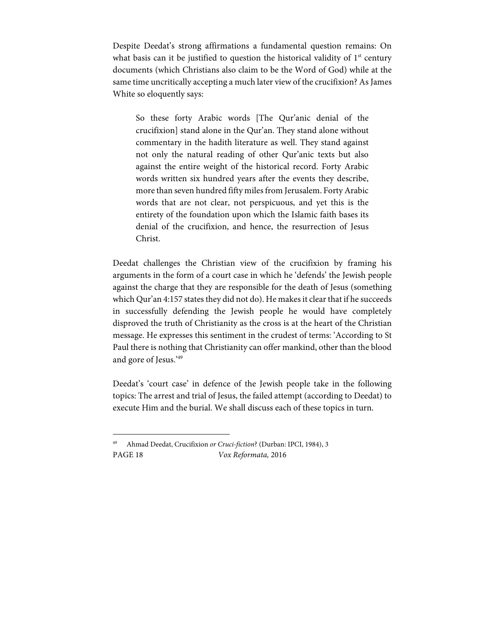Despite Deedat's strong affirmations a fundamental question remains: On what basis can it be justified to question the historical validity of  $1<sup>st</sup>$  century documents (which Christians also claim to be the Word of God) while at the same time uncritically accepting a much later view of the crucifixion? As James White so eloquently says:

So these forty Arabic words [The Qur'anic denial of the crucifixion] stand alone in the Qur'an. They stand alone without commentary in the hadith literature as well. They stand against not only the natural reading of other Qur'anic texts but also against the entire weight of the historical record. Forty Arabic words written six hundred years after the events they describe, more than seven hundred fifty miles from Jerusalem. Forty Arabic words that are not clear, not perspicuous, and yet this is the entirety of the foundation upon which the Islamic faith bases its denial of the crucifixion, and hence, the resurrection of Jesus Christ.

Deedat challenges the Christian view of the crucifixion by framing his arguments in the form of a court case in which he 'defends' the Jewish people against the charge that they are responsible for the death of Jesus (something which Qur'an 4:157 states they did not do). He makes it clear that if he succeeds in successfully defending the Jewish people he would have completely disproved the truth of Christianity as the cross is at the heart of the Christian message. He expresses this sentiment in the crudest of terms: 'According to St Paul there is nothing that Christianity can offer mankind, other than the blood and gore of Jesus.'49

Deedat's 'court case' in defence of the Jewish people take in the following topics: The arrest and trial of Jesus, the failed attempt (according to Deedat) to execute Him and the burial. We shall discuss each of these topics in turn.

1

PAGE 18 Vox Reformata, 2016 49 Ahmad Deedat, Crucifixion or Cruci-fiction? (Durban: IPCI, 1984), 3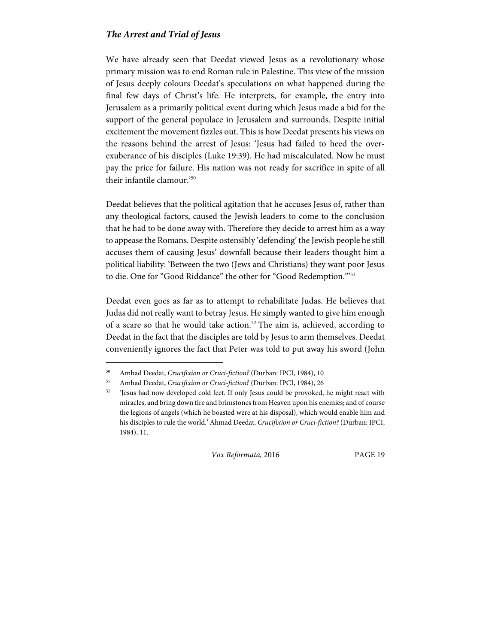#### **The Arrest and Trial of Jesus**

We have already seen that Deedat viewed Jesus as a revolutionary whose primary mission was to end Roman rule in Palestine. This view of the mission of Jesus deeply colours Deedat's speculations on what happened during the final few days of Christ's life. He interprets, for example, the entry into Jerusalem as a primarily political event during which Jesus made a bid for the support of the general populace in Jerusalem and surrounds. Despite initial excitement the movement fizzles out. This is how Deedat presents his views on the reasons behind the arrest of Jesus: 'Jesus had failed to heed the overexuberance of his disciples (Luke 19:39). He had miscalculated. Now he must pay the price for failure. His nation was not ready for sacrifice in spite of all their infantile clamour.'50

Deedat believes that the political agitation that he accuses Jesus of, rather than any theological factors, caused the Jewish leaders to come to the conclusion that he had to be done away with. Therefore they decide to arrest him as a way to appease the Romans. Despite ostensibly 'defending' the Jewish people he still accuses them of causing Jesus' downfall because their leaders thought him a political liability: 'Between the two (Jews and Christians) they want poor Jesus to die. One for "Good Riddance" the other for "Good Redemption."<sup>51</sup>

Deedat even goes as far as to attempt to rehabilitate Judas. He believes that Judas did not really want to betray Jesus. He simply wanted to give him enough of a scare so that he would take action.<sup>52</sup> The aim is, achieved, according to Deedat in the fact that the disciples are told by Jesus to arm themselves. Deedat conveniently ignores the fact that Peter was told to put away his sword (John

 $\overline{a}$ 

<sup>50</sup> Amhad Deedat, Crucifixion or Cruci-fiction? (Durban: IPCI, 1984), 10

<sup>51</sup> Amhad Deedat, Crucifixion or Cruci-fiction? (Durban: IPCI, 1984), 26

<sup>&</sup>lt;sup>52</sup> 'Jesus had now developed cold feet. If only Jesus could be provoked, he might react with miracles, and bring down fire and brimstones from Heaven upon his enemies; and of course the legions of angels (which he boasted were at his disposal), which would enable him and his disciples to rule the world.' Ahmad Deedat, Crucifixion or Cruci-fiction? (Durban: IPCI, 1984), 11.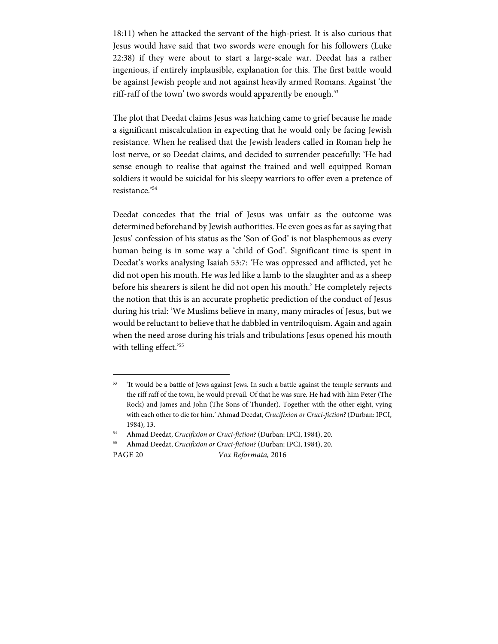18:11) when he attacked the servant of the high-priest. It is also curious that Jesus would have said that two swords were enough for his followers (Luke 22:38) if they were about to start a large-scale war. Deedat has a rather ingenious, if entirely implausible, explanation for this. The first battle would be against Jewish people and not against heavily armed Romans. Against 'the riff-raff of the town' two swords would apparently be enough.<sup>53</sup>

The plot that Deedat claims Jesus was hatching came to grief because he made a significant miscalculation in expecting that he would only be facing Jewish resistance. When he realised that the Jewish leaders called in Roman help he lost nerve, or so Deedat claims, and decided to surrender peacefully: 'He had sense enough to realise that against the trained and well equipped Roman soldiers it would be suicidal for his sleepy warriors to offer even a pretence of resistance.'54

Deedat concedes that the trial of Jesus was unfair as the outcome was determined beforehand by Jewish authorities. He even goes as far as saying that Jesus' confession of his status as the 'Son of God' is not blasphemous as every human being is in some way a 'child of God'. Significant time is spent in Deedat's works analysing Isaiah 53:7: 'He was oppressed and afflicted, yet he did not open his mouth. He was led like a lamb to the slaughter and as a sheep before his shearers is silent he did not open his mouth.' He completely rejects the notion that this is an accurate prophetic prediction of the conduct of Jesus during his trial: 'We Muslims believe in many, many miracles of Jesus, but we would be reluctant to believe that he dabbled in ventriloquism. Again and again when the need arose during his trials and tribulations Jesus opened his mouth with telling effect.'<sup>55</sup>

55 Ahmad Deedat, Crucifixion or Cruci-fiction? (Durban: IPCI, 1984), 20.

1

PAGE 20 Vox Reformata, 2016

<sup>&</sup>lt;sup>53</sup> 'It would be a battle of Jews against Jews. In such a battle against the temple servants and the riff raff of the town, he would prevail. Of that he was sure. He had with him Peter (The Rock) and James and John (The Sons of Thunder). Together with the other eight, vying with each other to die for him.' Ahmad Deedat, Crucifixion or Cruci-fiction? (Durban: IPCI, 1984), 13.

<sup>&</sup>lt;sup>54</sup> Ahmad Deedat, Crucifixion or Cruci-fiction? (Durban: IPCI, 1984), 20.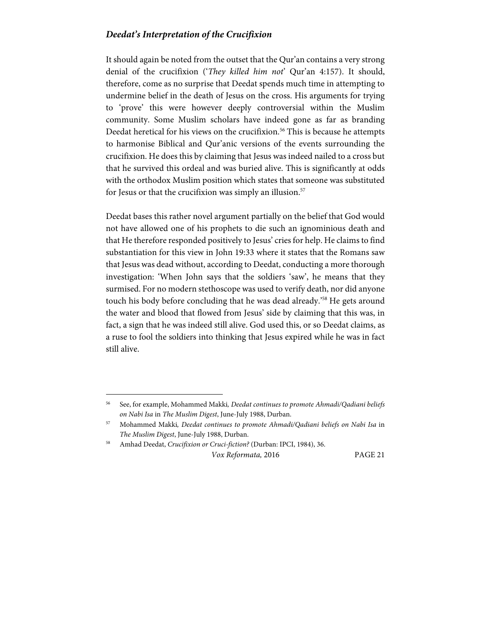#### **Deedat's Interpretation of the Crucifixion**

It should again be noted from the outset that the Qur'an contains a very strong denial of the crucifixion ('They killed him not' Qur'an 4:157). It should, therefore, come as no surprise that Deedat spends much time in attempting to undermine belief in the death of Jesus on the cross. His arguments for trying to 'prove' this were however deeply controversial within the Muslim community. Some Muslim scholars have indeed gone as far as branding Deedat heretical for his views on the crucifixion.<sup>56</sup> This is because he attempts to harmonise Biblical and Qur'anic versions of the events surrounding the crucifixion. He does this by claiming that Jesus was indeed nailed to a cross but that he survived this ordeal and was buried alive. This is significantly at odds with the orthodox Muslim position which states that someone was substituted for Jesus or that the crucifixion was simply an illusion.<sup>57</sup>

Deedat bases this rather novel argument partially on the belief that God would not have allowed one of his prophets to die such an ignominious death and that He therefore responded positively to Jesus' cries for help. He claims to find substantiation for this view in John 19:33 where it states that the Romans saw that Jesus was dead without, according to Deedat, conducting a more thorough investigation: 'When John says that the soldiers 'saw', he means that they surmised. For no modern stethoscope was used to verify death, nor did anyone touch his body before concluding that he was dead already.'58 He gets around the water and blood that flowed from Jesus' side by claiming that this was, in fact, a sign that he was indeed still alive. God used this, or so Deedat claims, as a ruse to fool the soldiers into thinking that Jesus expired while he was in fact still alive.

 $\overline{a}$ 

<sup>&</sup>lt;sup>56</sup> See, for example, Mohammed Makki, Deedat continues to promote Ahmadi/Qadiani beliefs on Nabi Isa in The Muslim Digest, June-July 1988, Durban.

<sup>57</sup> Mohammed Makki, Deedat continues to promote Ahmadi/Qadiani beliefs on Nabi Isa in The Muslim Digest, June-July 1988, Durban.

<sup>58</sup> Amhad Deedat, Crucifixion or Cruci-fiction? (Durban: IPCI, 1984), 36.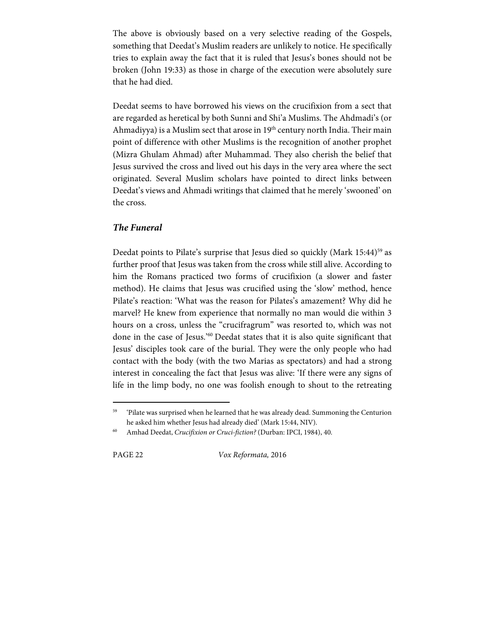The above is obviously based on a very selective reading of the Gospels, something that Deedat's Muslim readers are unlikely to notice. He specifically tries to explain away the fact that it is ruled that Jesus's bones should not be broken (John 19:33) as those in charge of the execution were absolutely sure that he had died.

Deedat seems to have borrowed his views on the crucifixion from a sect that are regarded as heretical by both Sunni and Shi'a Muslims. The Ahdmadi's (or Ahmadiyya) is a Muslim sect that arose in  $19<sup>th</sup>$  century north India. Their main point of difference with other Muslims is the recognition of another prophet (Mizra Ghulam Ahmad) after Muhammad. They also cherish the belief that Jesus survived the cross and lived out his days in the very area where the sect originated. Several Muslim scholars have pointed to direct links between Deedat's views and Ahmadi writings that claimed that he merely 'swooned' on the cross.

#### **The Funeral**

Deedat points to Pilate's surprise that Jesus died so quickly (Mark 15:44)<sup>59</sup> as further proof that Jesus was taken from the cross while still alive. According to him the Romans practiced two forms of crucifixion (a slower and faster method). He claims that Jesus was crucified using the 'slow' method, hence Pilate's reaction: 'What was the reason for Pilates's amazement? Why did he marvel? He knew from experience that normally no man would die within 3 hours on a cross, unless the "crucifragrum" was resorted to, which was not done in the case of Jesus.'60 Deedat states that it is also quite significant that Jesus' disciples took care of the burial. They were the only people who had contact with the body (with the two Marias as spectators) and had a strong interest in concealing the fact that Jesus was alive: 'If there were any signs of life in the limp body, no one was foolish enough to shout to the retreating

1

PAGE 22 Vox Reformata, 2016

<sup>&</sup>lt;sup>59</sup> 'Pilate was surprised when he learned that he was already dead. Summoning the Centurion he asked him whether Jesus had already died' (Mark 15:44, NIV).

<sup>&</sup>lt;sup>60</sup> Amhad Deedat, Crucifixion or Cruci-fiction? (Durban: IPCI, 1984), 40.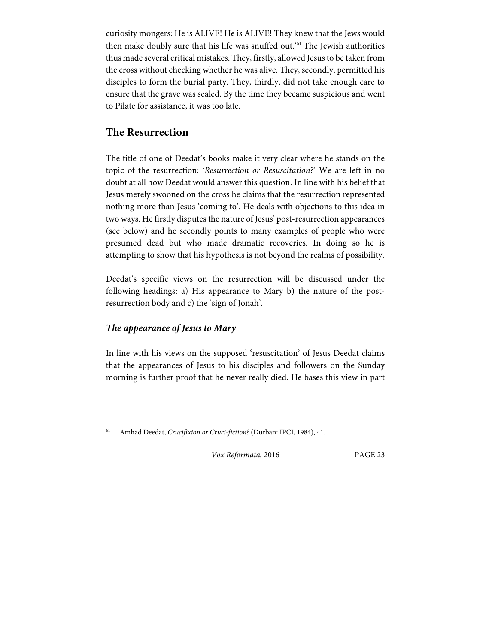curiosity mongers: He is ALIVE! He is ALIVE! They knew that the Jews would then make doubly sure that his life was snuffed out.'61 The Jewish authorities thus made several critical mistakes. They, firstly, allowed Jesus to be taken from the cross without checking whether he was alive. They, secondly, permitted his disciples to form the burial party. They, thirdly, did not take enough care to ensure that the grave was sealed. By the time they became suspicious and went to Pilate for assistance, it was too late.

## **The Resurrection**

The title of one of Deedat's books make it very clear where he stands on the topic of the resurrection: 'Resurrection or Resuscitation?' We are left in no doubt at all how Deedat would answer this question. In line with his belief that Jesus merely swooned on the cross he claims that the resurrection represented nothing more than Jesus 'coming to'. He deals with objections to this idea in two ways. He firstly disputes the nature of Jesus' post-resurrection appearances (see below) and he secondly points to many examples of people who were presumed dead but who made dramatic recoveries. In doing so he is attempting to show that his hypothesis is not beyond the realms of possibility.

Deedat's specific views on the resurrection will be discussed under the following headings: a) His appearance to Mary b) the nature of the postresurrection body and c) the 'sign of Jonah'.

### **The appearance of Jesus to Mary**

 $\overline{a}$ 

In line with his views on the supposed 'resuscitation' of Jesus Deedat claims that the appearances of Jesus to his disciples and followers on the Sunday morning is further proof that he never really died. He bases this view in part

Amhad Deedat, Crucifixion or Cruci-fiction? (Durban: IPCI, 1984), 41.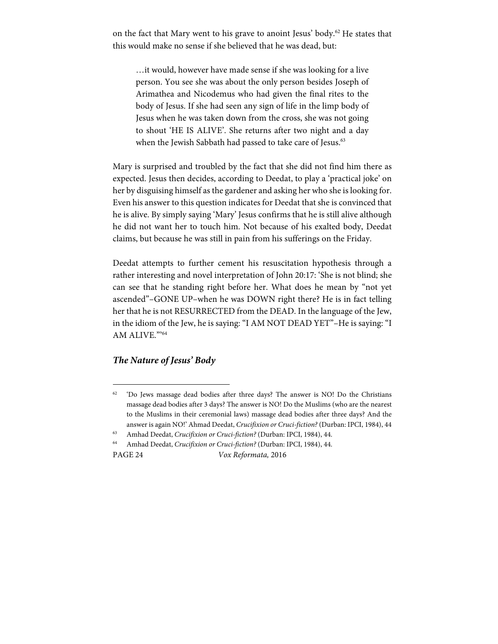on the fact that Mary went to his grave to anoint Jesus' body.<sup>62</sup> He states that this would make no sense if she believed that he was dead, but:

…it would, however have made sense if she was looking for a live person. You see she was about the only person besides Joseph of Arimathea and Nicodemus who had given the final rites to the body of Jesus. If she had seen any sign of life in the limp body of Jesus when he was taken down from the cross, she was not going to shout 'HE IS ALIVE'. She returns after two night and a day when the Jewish Sabbath had passed to take care of Jesus.<sup>63</sup>

Mary is surprised and troubled by the fact that she did not find him there as expected. Jesus then decides, according to Deedat, to play a 'practical joke' on her by disguising himself as the gardener and asking her who she is looking for. Even his answer to this question indicates for Deedat that she is convinced that he is alive. By simply saying 'Mary' Jesus confirms that he is still alive although he did not want her to touch him. Not because of his exalted body, Deedat claims, but because he was still in pain from his sufferings on the Friday.

Deedat attempts to further cement his resuscitation hypothesis through a rather interesting and novel interpretation of John 20:17: 'She is not blind; she can see that he standing right before her. What does he mean by "not yet ascended"–GONE UP–when he was DOWN right there? He is in fact telling her that he is not RESURRECTED from the DEAD. In the language of the Jew, in the idiom of the Jew, he is saying: "I AM NOT DEAD YET"–He is saying: "I AM ALIVE."'64

#### **The Nature of Jesus' Body**

<sup>64</sup> Amhad Deedat, Crucifixion or Cruci-fiction? (Durban: IPCI, 1984), 44.

1

PAGE 24 Vox Reformata, 2016

<sup>62 &#</sup>x27;Do Jews massage dead bodies after three days? The answer is NO! Do the Christians massage dead bodies after 3 days? The answer is NO! Do the Muslims (who are the nearest to the Muslims in their ceremonial laws) massage dead bodies after three days? And the answer is again NO!' Ahmad Deedat, Crucifixion or Cruci-fiction? (Durban: IPCI, 1984), 44

<sup>63</sup> Amhad Deedat, Crucifixion or Cruci-fiction? (Durban: IPCI, 1984), 44.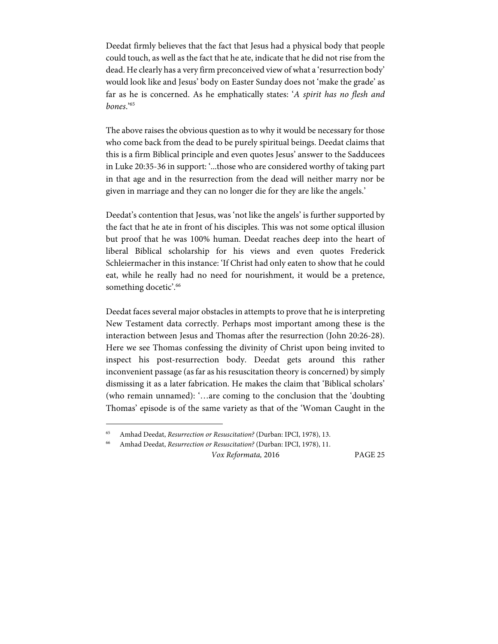Deedat firmly believes that the fact that Jesus had a physical body that people could touch, as well as the fact that he ate, indicate that he did not rise from the dead. He clearly has a very firm preconceived view of what a 'resurrection body' would look like and Jesus' body on Easter Sunday does not 'make the grade' as far as he is concerned. As he emphatically states: 'A spirit has no flesh and bones.'65

The above raises the obvious question as to why it would be necessary for those who come back from the dead to be purely spiritual beings. Deedat claims that this is a firm Biblical principle and even quotes Jesus' answer to the Sadducees in Luke 20:35-36 in support: '...those who are considered worthy of taking part in that age and in the resurrection from the dead will neither marry nor be given in marriage and they can no longer die for they are like the angels.'

Deedat's contention that Jesus, was 'not like the angels' is further supported by the fact that he ate in front of his disciples. This was not some optical illusion but proof that he was 100% human. Deedat reaches deep into the heart of liberal Biblical scholarship for his views and even quotes Frederick Schleiermacher in this instance: 'If Christ had only eaten to show that he could eat, while he really had no need for nourishment, it would be a pretence, something docetic'.<sup>66</sup>

Deedat faces several major obstacles in attempts to prove that he is interpreting New Testament data correctly. Perhaps most important among these is the interaction between Jesus and Thomas after the resurrection (John 20:26-28). Here we see Thomas confessing the divinity of Christ upon being invited to inspect his post-resurrection body. Deedat gets around this rather inconvenient passage (as far as his resuscitation theory is concerned) by simply dismissing it as a later fabrication. He makes the claim that 'Biblical scholars' (who remain unnamed): '…are coming to the conclusion that the 'doubting Thomas' episode is of the same variety as that of the 'Woman Caught in the

 $\overline{a}$ 

<sup>65</sup> Amhad Deedat, Resurrection or Resuscitation? (Durban: IPCI, 1978), 13.

<sup>66</sup> Amhad Deedat, Resurrection or Resuscitation? (Durban: IPCI, 1978), 11.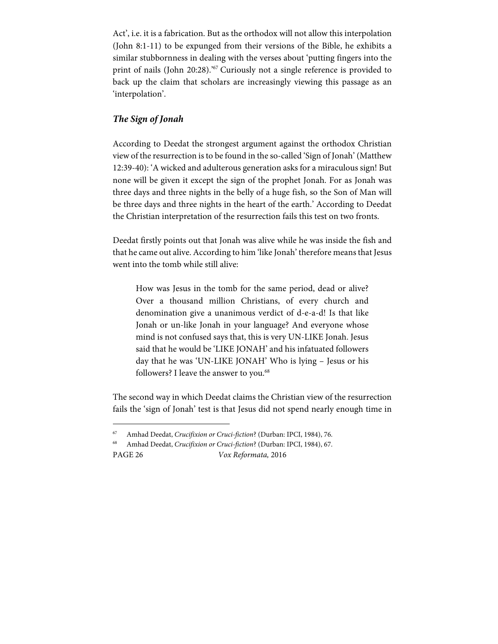Act', i.e. it is a fabrication. But as the orthodox will not allow this interpolation (John 8:1-11) to be expunged from their versions of the Bible, he exhibits a similar stubbornness in dealing with the verses about 'putting fingers into the print of nails (John 20:28).<sup>367</sup> Curiously not a single reference is provided to back up the claim that scholars are increasingly viewing this passage as an 'interpolation'.

#### **The Sign of Jonah**

1

According to Deedat the strongest argument against the orthodox Christian view of the resurrection is to be found in the so-called 'Sign of Jonah' (Matthew 12:39-40): 'A wicked and adulterous generation asks for a miraculous sign! But none will be given it except the sign of the prophet Jonah. For as Jonah was three days and three nights in the belly of a huge fish, so the Son of Man will be three days and three nights in the heart of the earth.' According to Deedat the Christian interpretation of the resurrection fails this test on two fronts.

Deedat firstly points out that Jonah was alive while he was inside the fish and that he came out alive. According to him 'like Jonah' therefore means that Jesus went into the tomb while still alive:

How was Jesus in the tomb for the same period, dead or alive? Over a thousand million Christians, of every church and denomination give a unanimous verdict of d-e-a-d! Is that like Jonah or un-like Jonah in your language? And everyone whose mind is not confused says that, this is very UN-LIKE Jonah. Jesus said that he would be 'LIKE JONAH' and his infatuated followers day that he was 'UN-LIKE JONAH' Who is lying – Jesus or his followers? I leave the answer to you.<sup>68</sup>

The second way in which Deedat claims the Christian view of the resurrection fails the 'sign of Jonah' test is that Jesus did not spend nearly enough time in

PAGE 26 Vox Reformata, 2016 <sup>68</sup> Amhad Deedat, Crucifixion or Cruci-fiction? (Durban: IPCI, 1984), 67.

<sup>67</sup> Amhad Deedat, Crucifixion or Cruci-fiction? (Durban: IPCI, 1984), 76.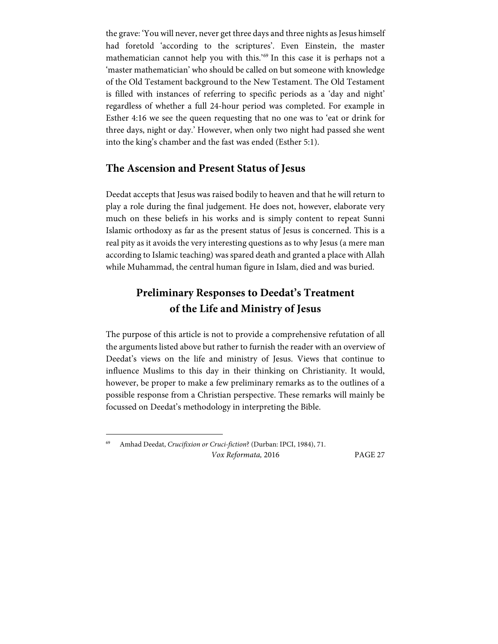the grave: 'You will never, never get three days and three nights as Jesus himself had foretold 'according to the scriptures'. Even Einstein, the master mathematician cannot help you with this.'69 In this case it is perhaps not a 'master mathematician' who should be called on but someone with knowledge of the Old Testament background to the New Testament. The Old Testament is filled with instances of referring to specific periods as a 'day and night' regardless of whether a full 24-hour period was completed. For example in Esther 4:16 we see the queen requesting that no one was to 'eat or drink for three days, night or day.' However, when only two night had passed she went into the king's chamber and the fast was ended (Esther 5:1).

## **The Ascension and Present Status of Jesus**

Deedat accepts that Jesus was raised bodily to heaven and that he will return to play a role during the final judgement. He does not, however, elaborate very much on these beliefs in his works and is simply content to repeat Sunni Islamic orthodoxy as far as the present status of Jesus is concerned. This is a real pity as it avoids the very interesting questions as to why Jesus (a mere man according to Islamic teaching) was spared death and granted a place with Allah while Muhammad, the central human figure in Islam, died and was buried.

# **Preliminary Responses to Deedat's Treatment of the Life and Ministry of Jesus**

The purpose of this article is not to provide a comprehensive refutation of all the arguments listed above but rather to furnish the reader with an overview of Deedat's views on the life and ministry of Jesus. Views that continue to influence Muslims to this day in their thinking on Christianity. It would, however, be proper to make a few preliminary remarks as to the outlines of a possible response from a Christian perspective. These remarks will mainly be focussed on Deedat's methodology in interpreting the Bible.

 $\overline{a}$ 

Vox Reformata, 2016 PAGE 27 Amhad Deedat, Crucifixion or Cruci-fiction? (Durban: IPCI, 1984), 71.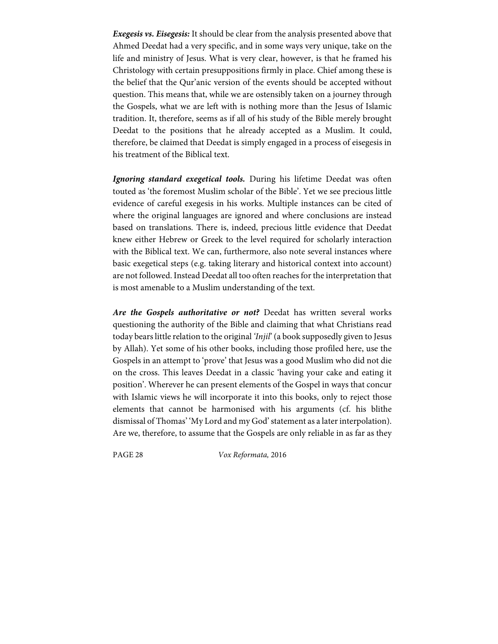**Exegesis vs. Eisegesis:** It should be clear from the analysis presented above that Ahmed Deedat had a very specific, and in some ways very unique, take on the life and ministry of Jesus. What is very clear, however, is that he framed his Christology with certain presuppositions firmly in place. Chief among these is the belief that the Qur'anic version of the events should be accepted without question. This means that, while we are ostensibly taken on a journey through the Gospels, what we are left with is nothing more than the Jesus of Islamic tradition. It, therefore, seems as if all of his study of the Bible merely brought Deedat to the positions that he already accepted as a Muslim. It could, therefore, be claimed that Deedat is simply engaged in a process of eisegesis in his treatment of the Biblical text.

**Ignoring standard exegetical tools.** During his lifetime Deedat was often touted as 'the foremost Muslim scholar of the Bible'. Yet we see precious little evidence of careful exegesis in his works. Multiple instances can be cited of where the original languages are ignored and where conclusions are instead based on translations. There is, indeed, precious little evidence that Deedat knew either Hebrew or Greek to the level required for scholarly interaction with the Biblical text. We can, furthermore, also note several instances where basic exegetical steps (e.g. taking literary and historical context into account) are not followed. Instead Deedat all too often reaches for the interpretation that is most amenable to a Muslim understanding of the text.

**Are the Gospels authoritative or not?** Deedat has written several works questioning the authority of the Bible and claiming that what Christians read today bears little relation to the original 'Injil' (a book supposedly given to Jesus by Allah). Yet some of his other books, including those profiled here, use the Gospels in an attempt to 'prove' that Jesus was a good Muslim who did not die on the cross. This leaves Deedat in a classic 'having your cake and eating it position'. Wherever he can present elements of the Gospel in ways that concur with Islamic views he will incorporate it into this books, only to reject those elements that cannot be harmonised with his arguments (cf. his blithe dismissal of Thomas' 'My Lord and my God' statement as a later interpolation). Are we, therefore, to assume that the Gospels are only reliable in as far as they

PAGE 28 Vox Reformata, 2016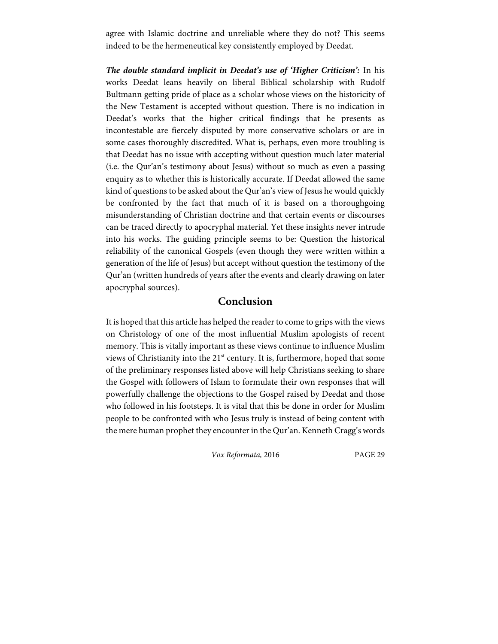agree with Islamic doctrine and unreliable where they do not? This seems indeed to be the hermeneutical key consistently employed by Deedat.

**The double standard implicit in Deedat's use of 'Higher Criticism':** In his works Deedat leans heavily on liberal Biblical scholarship with Rudolf Bultmann getting pride of place as a scholar whose views on the historicity of the New Testament is accepted without question. There is no indication in Deedat's works that the higher critical findings that he presents as incontestable are fiercely disputed by more conservative scholars or are in some cases thoroughly discredited. What is, perhaps, even more troubling is that Deedat has no issue with accepting without question much later material (i.e. the Qur'an's testimony about Jesus) without so much as even a passing enquiry as to whether this is historically accurate. If Deedat allowed the same kind of questions to be asked about the Qur'an's view of Jesus he would quickly be confronted by the fact that much of it is based on a thoroughgoing misunderstanding of Christian doctrine and that certain events or discourses can be traced directly to apocryphal material. Yet these insights never intrude into his works. The guiding principle seems to be: Question the historical reliability of the canonical Gospels (even though they were written within a generation of the life of Jesus) but accept without question the testimony of the Qur'an (written hundreds of years after the events and clearly drawing on later apocryphal sources).

## **Conclusion**

It is hoped that this article has helped the reader to come to grips with the views on Christology of one of the most influential Muslim apologists of recent memory. This is vitally important as these views continue to influence Muslim views of Christianity into the 21<sup>st</sup> century. It is, furthermore, hoped that some of the preliminary responses listed above will help Christians seeking to share the Gospel with followers of Islam to formulate their own responses that will powerfully challenge the objections to the Gospel raised by Deedat and those who followed in his footsteps. It is vital that this be done in order for Muslim people to be confronted with who Jesus truly is instead of being content with the mere human prophet they encounter in the Qur'an. Kenneth Cragg's words